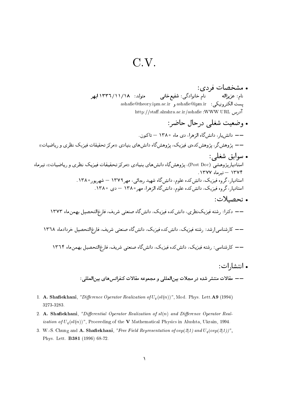## $C.V.$

- . مشخصات فردي: نام: عزیزاله نام خانوادگی: شفیع خانی متولد: ١٢٣٦/١١/١٨ ابهر يست الكترونيكي: sahafie@ipm.ir و ashafie@theory.ipm.ac.ir http://staff.alzahra.ac.ir/ashafie :WWW URL  $\tilde{\mathcal{M}}$ درس • وضعيت شغلي درجال حاضر: — دانش یار، دانش گاه الزهرا، دی ماه ۱۳۸۰ — تاکنون. —— پژوهشگر، پژوهش *کدهی فیزیک*، پژوهشگاه دانش های بنیادی «مرکز تحقیقات فیزیک نظری و ریاضیات» • سوابق شغلي:
- ر .ب<br>استادیارپژوهشی (Post Doc)، پژوهشگاه دانش های بنیادی «مرکز تحقیقات فیزیک نظری و ریاضیات»، تیرماه  $1444 - 344$  - تبرماه ۱۳۷۷. استادیار، گروه فیزیک، دانش2ده علوم، دانشگاه شهید رجائی، مهر۱۳۷۹ — شهریور۱۳۸۰. استادیار، گروه فیزیک، دانش کده علوم، دانش گاه الزهرا، مهر ۱۳۸۰ – دی ۱۳۸۰.
	- . تحصىلات: –– دکترا: رشته فیزیکنظری، دانش کده فیزیک، دانش گاه صنعتی شریف، فارغ التحصیل بهمن ماه ۱۳۷۳ —— کارشناسی|رشد: رشته فیزیک، دانش کده فیزیک، دانش گاه صنعتی شریف، فارغ|لتحصیل خردادماه ۱۳٦۸ —— کارشناسی: رشته فیزیک، دانش2ده فیزیک، دانشگاه صنعتی شریف، فارغ|لتحصیل بهمن ماه ۱۳٦۴ • انتشا, ات:

- 1. A. Shafiekhani, "Difference Operator Realization of  $U_q(sl(n))$ ", Mod. Phys. Lett.A9 (1994) 3273-3283.
- 2. A. Shafiekhani, "Differential Operator Realization of  $sl(n)$  and Difference Operator Real*ization of*  $U_q(sl(n))$ ", Proceeding of the **V** Mathematical Physics in Alushta, Ukrain, 1994.
- 3. W.-S. Chung and A. Shafiekhani, "Free Field Representation of  $osp(2|1)$  and  $U_a (osp(2|1))$ ", Phys. Lett. **B381** (1996) 68-72.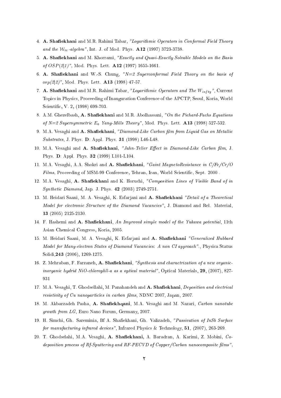- 4. A. Shafiekhani and M.R. Rahimi Tabar, "Logarithmic Operators in Conformal Field Theory and the  $W_{\infty}$ -algebra", Int. J. of Mod. Phys. A12 (1997) 3723-3738.
- 5. A. Shafiekhani and M. Khorrami, "Exactly and Quasi-Exactly Solvable Models on the Basis of  $OSP(2|1)$ ", Mod. Phys. Lett. A12 (1997) 1655-1661.
- 6. A. Shafiekhani and W.-S. Chung,  $N=2$  Superconformal Field Theory on the basis of  $osp(2|2)$ ", Mod. Phys. Lett. **A13** (1998) 47-57.
- 7. A. Shafiekhani and M.R. Rahimi Tabar, "Logarithmic Operators and The  $W_{infty}$ ", Current Topi
s in Physi
s, Pro
eeding of Inauguration Conferen
e of the APCTP, Seoul, Koria, World Scientific, V. 2, (1998) 699-703.
- 8. A.M. Ghezelbash, A. Shafiekhani and M.R. Abolhassani, "On the Pichard-Fuchs Equations of  $N=2$  Supersymmetric  $E_6$  Yang-Mills Theory", Mod. Phys. Lett. A13 (1998) 527-532.
- 9. M.A. Vesaghi and A. Shafiekhani, "Diamond-Like Carbon film from Liquid Gas on Metallic Substrates, J. Phys. D: Appl. Phys. 31 (1998) L46-L48.
- 10. M.A. Vesaghi and A. Shafiekhani, "Jahn-Teller Effect in Diamond-Like Carbon film, J. Phys. D: Appl. Phys. 32 (1999) L101-L104.
- 11. M.A. Vesaghi, A.A. Shokri and A. Shafiekhani, "Gaint MagnetoResistance in C/Fe/Cr/O Films, Proceeding of MSM-99 Conference, Tehran, Iran, World Scientific, Sept. 2000.
- 12. M.A. Vesaghi, A. Shafiekhani and K. Horuchi, "Composition Lines of Visible Band of in Syntheti Diamond, Jap. J. Phys. 42 (2003) 2749-2751.
- 13. M. Heidari Saani, M. A. Vesaghi, K. Esfarjani and A. Shafiekhani "Detail of a Theoretical Model for electronic Structure of the Diamond Vacancies", J. Diamond and Rel. Material, 13 (2005) 2125-2130.
- 14. F. Hashemi and A. Shafiekhani, An Improved simple model of the Yukawa potential, 11th Asian Chemi
al Congress, Koria, 2005.
- 15. M. Heidari Saani, M. A. Vesaghi, K. Esfarjani and A. Shafiekhani "Generalized Hubbard Model for Many-electron States of Diamond Vacancies: A non CI approach"., Physica Status Solidi, 243 (2006), 1269-1275.
- 16. Z. Mehraban, F. Farzaneh, A. Shafiekhani, "Synthesis and charactrization of a new organicinorganic hydrid NiO-chlorophll-a as a optical material", Optical Materials, 29, (2007), 827-
- 17. M.A. Vesaghi, T. Ghodsellahi, M. Panahandeh and A. Shafiekhani, *Deposition and electrical* resistivity of Cu nanoparticles in carbon films, NDNC 2007, Japan, 2007.
- 18. M. Akbarzadeh Pasha, A. Shafiekhqani, M.A. Vesaghi and M. Nazari, Carbon nanotube growth from LG, Euro Nano Forum, Germany, 2007.
- 19. H. Simchi, Gh. Sareminia, Bf A. Shafiekhani, Gh. Valizadeh, "Passivation of InSb Surface for manufacturing infrared devices", Infrared Physics & Technology,  $51$ , (2007), 263-269.
- 20. T. Ghodselahi, M.A. Vesaghi, A. Shafiekhani, A. Baradran, A. Karimi, Z. Mobini, Codeposition process of Rf-Sputtering and RF-PECVD of Copper/Carbon nanocomposite films",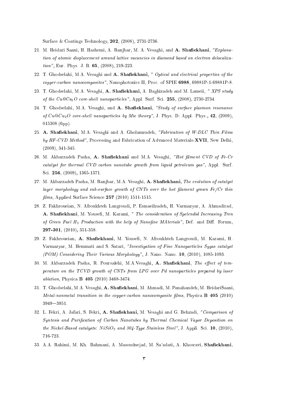Surface & Coatings Technology, 202, (2008), 2731-2736.

- 21. M. Heidari Saani, H. Hashemi, A. Ranjbar, M. A. Vesaghi, and A. Shafiekhani, "Explanation of atomic displacement around lattice vacancies in diamond based on electron delocalization", Eur. Phys. J. B. 65, (2008), 219-223.
- 22. T. Ghodselahi, M.A. Vesaghi and A. Shafiekhani, " Optical and electrical properties of the copper-carbon nanocomposites", Nanophotonics II, Proc. of SPIE 6988, 69881P-1-69881P-8.
- 23. T. Ghodselahi, M.A. Vesaghi, A. Shafiekhani, A. Baghizadeh and M. Lameii, "XPS study of the  $Cu@Cu<sub>2</sub>O$  core-shell nanoparticles", Appl. Surf. Sci. 255, (2008), 2730-2734.
- 24. T. Ghodselahi, M.A. Vesaghi, and A. Shafiekhani, "Study of surface plasmon resonance of  $Cu@Cu_2O$  core-shell nanoparticles by Mie theory", J. Phys. D: Appl. Phys., 42, (2009), 015308 (6pp).
- 25. A. Shafiekhani, M.A. Vesaghi and A. Gholamzadeh, "Fabrication of W-DLC Thin Films by HF-CVD Method", Processing and Fabrication of Advanced Materials-XVII, New Delhi, (2009), 341-345.
- 26. M. Akbarzadeh Pasha, A. Shafiekhani and M.A. Vesaghi, "Hot filment CVD of Fe-Cr catalyst for thermal CVD carbon nanotube growth from liquid petroleum gas", Appl. Surf. Sci. 256, (2009), 1365-1371.
- 27. M. Akbarzadeh Pasha, M. Ranjbar, M.A. Vesaghi, A. Shafiekhani, The evolution of catalyst  $layer\,morphology\,and\,sub-surface\,growth\,of\,CNTs\,over\,the\,hot\,filament\,qrown\,New\,Fe/Cr\,thin$  $films, Applied Surface Science$  257 (2010) 1511-1515.
- 28. Z. Fakhroueian, N. Afroukhteh Langroudi, P. Esmaeilzadeh, H. Varmazyar, A. Ahmadirad, A. Shafiekhani, M. Yousefi, M. Karami, " The consideration of Spelendid Increasing Tren of Green Fuel  $H_2$  Production with the help of Nanofine MAterials", Def. and Diff. Forum, 297-301, (2010), 351-358.
- 29. Z. Fakhroueian, A. Shafiekhani, M. Yousefi, N. Afroukhteh Langroudi, M. Karami, H. Varmazyar, M. Hemmati and S. Satari, "Investigation of Fine Nanoparti
les Sygas atalyst (POM) Considering Their Various Morphology", J. Nano. Nano. 10, (2010), 1085-1093.
- 30. M. Akbarzadeh Pasha, R. Poursalehi, M.A.Vesaghi, A. Shafiekhani, The effect of temperature on the TCVD growth of CNTs from LPG over Pd nanoparti
les prepared by laser ablation, Physica **B 405** (2010) 3468-3474.
- 31. T. Ghodselahi, M.A. Vesaghi, A. Shafiekhani, M. Ahmadi, M. Panahandeh, M. HeidariSaani, Metal-nonmetal transition in the copper-carbon nanocomposite films, Physica  $\bf{B}$  405 (2010) 3949-3951.
- 32. L. Fekri, A. Jafari, S. Fekri, A. Shafiekhani, M. Vesaghi and G. Behzadi, "Comparison of Syntesis and Purification of Carbon Nanotubes by Thermal Chemical Vapor Deposition on the Nickel-Based catalysts:  $NiSiO<sub>2</sub>$  and 304-Type Stainless Steel", J. Appli. Sci. 10, (2010), 716-723.
- 33. A.A. Rahimi, M. Kh. Bahmani, A. Masoudnejad, M. Sa'adati, A. Khosravi, Shafiekhani,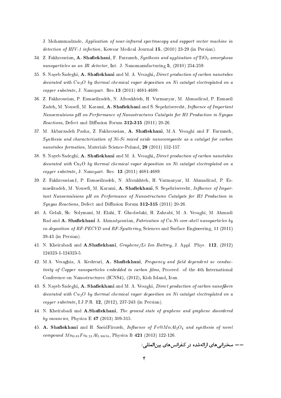J. Mohammadzade, Application of near-infrared spectroscopy and support vector machine in detection of HIV-1 infection, Kowsar Medical Journal 15, (2010) 23-29 (in Persian).

- 34. Z. Fakhroueian, A. Shafiekhani, F. Farzaneh, Synthesis and application of  $TiO<sub>2</sub>$  amorphous nanoparticles as an IR detector, Int. J. Nanomanufacturing 5, (2010) 254-259.
- 35. S. Naveb Sadeghi, A. Shafiekhani and M. A. Vesaghi, *Direct production of carbon nanotubes*  $decorated with Cu<sub>2</sub>O by thermal chemical vapor deposition on Ni catalyst electrophated on a$ opper substrate, J. Nanopart. Res.13 (2011) 4681-4689.
- 36. Z. Fakhroueian, P. Esmaeilzadeh, N. Afroukhteh, H. Varmazyar, M. Ahmadirad, P. Esmaeil Zadeh, M. Yousefi, M. Karami, A. Shafiekhani and S. Sepehriseresht, *Influence of Important* Nanoemulsions pH on Performance of Nanostructures Catalysts for H2 Production in Syngas  $Reactions$ , Defect and Diffusion Forum 312-315 (2011) 20-26.
- 37. M. Akbarzadeh Pasha, Z. Fakhroueian, A. Shafiekhani, M.A. Vesaghi and F. Farzaneh, Synthesis and characterization of Ni-Si mixed oxide nanocomposite as a catalyst for carbon nanotubes formation, Materials Science-Poland, 29 (2011) 152-157.
- 38. S. Nayeb Sadeghi, A. Shafiekhani and M. A. Vesaghi, Direct production of carbon nanotubes decorated with Cu<sub>2</sub>O by thermal chemical vapor deposition on Ni catalyst electroplated on a opper substrate, J. Nanopart. Res. 13 (2011) 4681-4689.
- 39. Z. Fakhroueian1, P. Esmaeilzadeh, N. Afroukhteh, H. Varmazyar, M. Ahmadirad, P. Esmaeilzadeh, M. Yousefi, M. Karami, A. Shafiekhani, S. Sepehriseresht, Influence of Important Nanoemulsions pH on Performance of Nanostructures Catalysts for H2 Production in  $Syngas$  Reactions, Defect and Diffusion Forum  $312-315$  (2011) 20-26.
- 40. A. Gelali, Sh. Solymani, M. Elahi, T. Ghodselahi, H. Zahrabi, M. A. Vesaghi, M. Ahmadi Rad and A. Shafiekhani A. Ahmadpourian, Fabrication of Cu-Ni core-shell nanoparticles by  $co-deposition$  of  $RF$ - $PECVD$  and  $RF$ -Sputtering, Sciences and Surface Engineering, 11 (2011) 39-43 (in Persian).
- 41. N. Kheirabadi and  $\mathbf{A}.\mathbf{Shafiekhani}, Graphene/Li$  Ion Battrey, J. Appl. Phys. 112, (2012) 124323-1-124323-5.
- 42. M.A. Vesaghia, A. Keshvari, A. Shafiekhani, Frequency and field dependent ac conductivity of Copper nanoparticles embedded in carbon films, Proceed. of the 4th International Conferen
e on Nanostru
tures (ICNS4), (2012), Kish Island, Iran.
- 43. S. Nayeb Sadeghi, A. Shafiekhani and M. A. Vesaghi, *Direct production of carbon nanofibers* decorated with  $Cu<sub>2</sub>O$  by thermal chemical vapor deposition on Ni catalyst electroplated on a opper substrate, I.J.P.R. 12, (2012), 237-243 (in Persian).
- 44. N. Kheirabadi and A.Shafiekhani, The ground state of graphene and graphene disordered by vacancies, Physica E 47 (2013) 309-315.
- 45. A. Shafiekhani and H. SaeidFirozeh, Influence of  $Fe@MnAl_2O_4$  and synthesis of novel compound  $M n_{0.83} Fe_{0.21} Al_{1.96O4}$ , Physica B 421 (2013) 122-126.

- سخنرانی های ارائهشده در کنفرانس های پین المللی: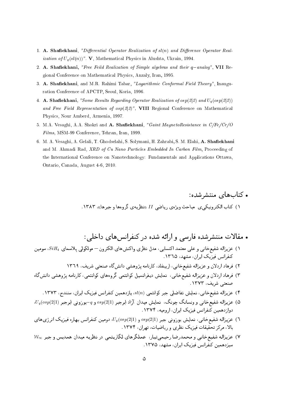- 1. A. Shafiekhani, "Differential Operator Realization of  $sl(n)$  and Difference Operator Real*ization of*  $U_q(sl(n))$ ". **V**, Mathematical Physics in Alushta, Ukrain, 1994.
- 2. A. Shafiekhani, "Free Feild Realization of Simple algebras and their q-analog", VII Regional Conference on Mathematical Physics, Anzaly, Iran, 1995.
- 3. A. Shafiekhani, and M.R. Rahimi Tabar, "Logarithmic Conformal Field Theory", Inauguration Conference of APCTP, Seoul, Koria, 1996.
- 4. A. Shafiekhani, "Some Results Regarding Operator Realization of  $osp(2|2)$  and  $U_q(osp(2|2))$ and Free Field Representation of  $osp(2|2)$ ", VIII Regional Conference on Mathematical Physics, Nour Amberd, Armenia, 1997.
- 5. M.A. Vesaghi, A.A. Shokri and A. Shafiekhani, "Gaint MagnetoResistance in C/Fe/Cr/O Films, MSM-99 Conference, Tehran, Iran, 1999.
- 6. M. A. Vesaghi, A. Gelali, T. Ghodselahi, S. Solymani, H. Zahrabi, S. M. Elahi, A. Shafiekhani and M. Ahmadi Rad, XRD of Cu Nano Particles Embedded In Carbon Film, Proceeding of the International Conference on Nanotechnology: Fundamentals and Applications Ottawa, Ontario, Canada, August 4-6, 2010.

• كتابهاي منتشرشده: ۱) کتاب الکتر ونیکی ی میاجت ویژوی , پاضی II «نظریهی گروهها و جبرها»، ۱۳۸۳.

- . مقالات منتشرشده فارسی و ارائه شده در کنفرانس های داخلی :
- ۱) عزیزاله شفیع خانبی و علمی معتمد اکتساببی، مدل نظری واکنشهای الکترون— مولکولمی پلاسمای  $SiH_4$ ، سومین کنفرانس فیزیک ایران، مشهد، ۱۳٦۵.
	- ۲) فرهاد اردلان و عزیزاله شفیع خانبی، اربیفلد، کارنامه پژوهشی دانشگاه صنعتبی شریف، ۱۳٦۹
- ۳) فرهاد اردلان و عزیزاله شفیع خانبی، نمایش دیفرانسیل کوانتمی گروههای کوانتمی، کارنامه پژوهشی دانش گاه صنعتی شریف، ۱۳۷۳.
	- ۴) عزیزاله شفیع خانی، نمایش تفاضلی جبر کوانتمی (sl(n، یازدهمین کنفرانس فیزیک ایران، سنندج، ۱۳۷۳.
- ۰ $U_q(osp(2|1)$  عزیزاله شفیع خانبی و ونسانگ چونگ، نمایش میدان آزاد ابرجبر  $\mathit{osp}(2|1)$  و  $q-$ بوزونبی ابرجبر دوازدهمین کنفرانس فیزیک ایران، از ومیه، ۱۳۷۴.
- .<br>٦) عزیزاله شفیع خانبی، نمایش بوزونی جبر (08p(2|1) و (0sp(2|1، دومین کنفرانس بهاره فیزیک انرژیهای بالا، مرکز تحقیقات فیزیک نظری و ریاضیات، تهران، ۱۳۷۴.
- ۷) عزیزاله شفیعخانی و محمدرضا رحیمیتبار، عملگرهای لگاریتمی در نظریه میدان همدیس و جبر ۴۷۰۰ سنزدهمین کنفرانس فیزیک ایران، مشهد، ۱۳۷۵.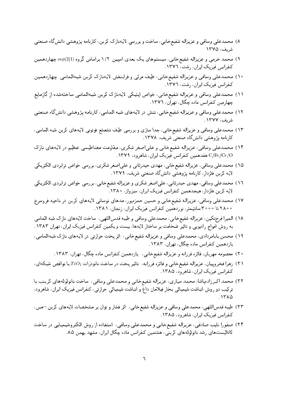- ۸) محمدعلی وساقی و عزیزاله شفیعخانی، ساخت و بررسی لایهنازک کربن، کارنامه پژوهشی دانشگاه صنعتی شریف، ۱۳۷۵
- ۹) محمد خرمی و عزیزاله شفیع خانبی، سیستم های یک بعدی اسپین ۱/۲ براساس گروه ( $\mathit{osp}(2|1)$  چهاردهمین کنفرانس فیزیک ایران، رشت، ۱۳۷٦.
- ۱۰) محمدعلمی وساقمی و عزیزاله شفیع خانبی، طیف مرئیی و فرابنفش لایهنازک کربن شبهالماسی چهاردهمین کنفرانس فیزیک ایران، رشت، ١٣٧٦.
- ۱۱) محمدعلمی وساقبی و عزیزاله شفیع خانبی، خواص اپتیکی لایهنازک کربن شبهالماسی ساختهشده از گازمایع چهارمین کنفرانس ماده چگال، تهران، ١٣٧٦.
- ۱۲) محمدعلی وساقی و عزیزاله شفیعخانی، تنش در لایههای شبه الماسی، کارنامه پژوهشی دانش گاه صنعتی شريف، ١٣٧٧.
- ۱۳) محمدعلی وساقی و عزیزاله شفیع خانبی، جدا سازی و بررسی طیف تشعشع فوتونی لایههای کربن شبه الماسی، کارنامه پژوهشی دانش5اه صنعتی شریف، ۱۳۷۸.
- ۱۴) محمدعلمی وساقبی، عزیزاله شفیع خانبی و علمیاصغر شکری، مقاومت مغناطیسی عظیم در لایههای نازک C/Fe/Cr/O هفدهمین کنفرانس فیزیک ایران، شاهرود، ۱۳۷۹.
- ۱۵) محمدعلی وساقی، عزیزاله شفیعخانی، مهدی حیدرثانی و علیاصغر شکری، بررسی خواص ترابردی الکتریکی لایه کربن فلزدار، کارنامه پژوهشی دانشگاه صنعتی شریف، ۱۳۷۹.
- ١٦) محمدعلي وساقي، مهدي حيدرثاني، علىاصغر شكري و عزيزاله شفيع خانبي، بررسي خواص ترابردي الكتريكي لایه کربن فلزدار، هیجدهمین کنفرانس فیزیک ایران، سبزواز، ۱۳۸۰.
- ١٧) محمدعلي وساقي، عزيزاله شفيع خانبي و حسين حمزهيور، مدهاي نوساني لايههاي كربن در ناحيه فروسرخ ۰ ۲۸۰ تا ۲۰۰۰ سانتیمتر، نوزدهمین کنفرانس فیزیک ایران، زنجان، ۱۳۸۱.
- ١٨) الميرا فرختكين، عزيزاله شفيع خانبي، محمدعلمي وساقبي وطيبه قدساللهي، ساخت لايههاي نازك شبه الماسي به روش امواج رادیویی و تاثیر ضخامت بر ساختار لایهها، بیست و یکمین کنفرانس فیزیک ایران، تهران ۱۳۸۳.
- ١٩) محسن بابامردادي، محمدعلي وساقي و عزيزاله شفيع خانبي، اثر يخت حرارتي در لايههاي نازك شبهالماسي، يازدهمين كنفرانس ماده چگال، تهران، ۱۳۸۳.
	- ۲۰) معصومه مهربان، فائزه فرزانه و عزیزاله شفیع خانبی، پازدهمین کنفرانس ماده چگال، تهران، ۱۳۸۳.
- ۲۱) زهرا فخروییان، عزیزاله شفیعخانبی و فائزه فرزانه، تاثیر یخت در ساخت نانودرات  $TiO_2$  با نواقص شبکهای، کنفرانس فیزیک ایران، شاهر ود، ۱۳۸۵.
- ٢٢) محمد اكبرزادهپاشا، محمد سياري، عزيزاله شفيعخاني و محمدعلي وساقي، ساخت نانولولههاي كربنب با ترکیب دو روش انباشت شیمیائیی بخار فیلامان داغ و انباشت شیمیائیی حرارتیی، کنفرانس فیزیک ایران، شاهرود،  $.1710$
- ۲۳) طیبه قدساللهی، محمدعلی وساقی و عزیزاله شفیعخانی، اثر فشار و توان بر مشخصات لایههای کربن—مس، کنفرانس فیزیک ایران، شاهرود، ۱۳۸۵.
- ۲۴) صفورا نایب صادقی، عزیزاله شفیعخانی و محمدعلی وساقی، استفاده از روش الکتروشیمیلیی در ساخت کاتالیستهای رشد نانولولههای کربنی، هشتمین کنفرانس ماده چگال ایران، مشهد بهمن ۸۵.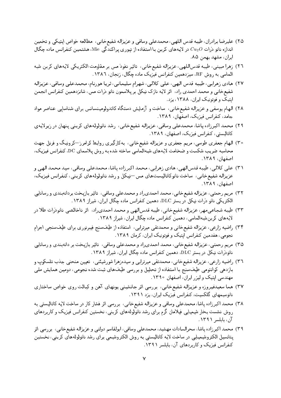- ٢٥) عليرضا برادران، طيبه قدس اللهي، محمدعلي وساقي وعزيزاله شفيع خانبي، مطالعه خواص اپتيكي و تخمين اندازه نانو ذرات  $Cu_2O$  در لایههای کربن با استفاده از تپوری پراکندگی Mie، هشتمین کنفرانس ماده چگال ایران، مشهد بهمن ۸۵.
- ٢٦) زهرا مبيني، طيبه قدساللهي، عزيزاله شفيع خانبي، تاثير نفوذ مس بر مقاومت الكتريكي لايههاي كربن شبه الماسی به روش RF، سیزدهمین کنفرانس فیزیک ماده چگال، زنجان، ۱۳۸٦.
- ٢٧) هادي زهرابي، طيبه قدس الهي، علي كلالي، شهرام سليماني، ثريا هورنام، محمدعلي وساقي، عزيزاله شفیع خانبی و محمد احمدی راد، اثر لایه نازک نیکل بر پلاسمون نانو ذرات مس، شانزدهمین کنفرانس انجمن اپتیک و فوتونیک ایران، ۱۳۸۸، یزد.
- ۲۸) الـهام یوسفـی و عـزیـزالـه شفیـع خانـی، ساخت و آزمـایـش دستگاه کاتدولومینسانس بـرای شنـاساپـی عنـاصر مواد جامد، کنفرانس فیزیک، اصفهان، ۱۳۸۹.
- ۲۹) محمد اکبرزاده پاشا، محمدعلمی وساقبی، عزیزاله شفیع خانبی، رشد نانولولههای کربنبی پنهان در زیرلایهی کاتالیستی، کنفرانس فیزیک، اصفهان، ۱۳۸۹.
- ۳۰) الهام جعفری طوسی، مریم جعفری و عزیزاله شفیعخانبی، بهکارگیری روابط کرامرز—کرونیگ و فرنل جهت محاسبه ضریب شکست و ضخامت لایههای شبهالماسی ساخته شده به روش پلاسمای DC، کنفرانس فیزیک، اصفعان، ١٣٨٩.
- ٣١) علي كلالبي، طيبه قدسالهي، هادي زهرابي، محمد اكبرزاده ياشا، محمدعلبي وساقبي، سيد محمد الهي و عزیزاله شفیع خانبی، ساخت نانوکاتالیستهای مس-نیکل و رشد نانولولههای کربنی، کنفرانس فیزیک، اصفهان، ١٣٨٩.
- ۳۲) مریم رحمتی، عزیزاله شفیع خانبی، محمد احمدی راد و محمدعلی وساقبی، تاثیر بازیخت بردانهبندی و رسانایی الکتریکی نانو درات نیکل در بستر DLC، دهمین کنفرانس ماده چگال ایران، شیراز ۱۳۸۹.
- ۳۳) طیبه شجاعبی مهر، عزیزاله شفیع خانبی، طیبه قدسالهبی و محمد احمدی راد، ۱نر ناخالصبی نانودرات طلا در لایههای کربنشبهالماسی، دهمین کنفرانس ماده چگال ایران، شیراز ۱۳۸۹.
- ۳۴) راضیه زارعی، عزیزاله شفیع،خانبی و محمدتقبی میرتراببی، استفاده از طیفسنج فیبرنوری برای طیفسنجی اجرام نجومی، هفدمین کنفرانس ایتیک و فوتونیک ایران، کرمان ۱۳۸۹.
- ۳۵) مریم رحمتبی، عزیزاله شفیع خانبی، محمد احمدی راد و محمدعلبی وساقبی، تاثیر بازپخت بر دانهبندی و رسانایی نانودرات نیکل در بستر DLC، دهمین کنفرانس ماده چگال ایران، شیراز ۱۳۸۹.
- ٣٦) راضيه زارعيي، عزيزاله شفيع خانبي، محمدتقي ميرترابي وسيدهزهرا شورشيئنيي، تعيين منحني جذب تلسكوپ و بازدهی کوانتومی طیفسنج با استفاده از تحلیل و بررسی طیفهای ثبت شده نجومی، دومین همایش ملی مهندسی ایتیک و لیزر ایران، اصفهان ۱۳۹۰.
- ۳۷) هما سعیدفیروزه و عزیزاله شفیع خانبی، بررسی اثر جانشینبی پونهای آهن و کبالت روی خواص ساختاری نانوسیمهای گلکسیت، کنفرانس فیزیک ایران، یزد ۱۳۹۱.
- ۳۸) محمد اکبرزاده پاشا، محمدعلمی وساقبی و عزیزاله شفیع خانبی، بررسی اثر فشار کار در ساخت لایه کاتالیستبی به روش نشست بخار شیمیایی فیلامان گرم برای رشد نانولولههای کربنی، نخستین کنفرانس فیزیک و کاربردهای آن، پایلسر ۱۳۹۱.
- ۳۹) محمد اکبرزاده پاشا، سحرالسادات مهشید، محمدعلی وساقی، ابولقاسم دولتی و عزیزاله شفیع خانی، بررسی اثر پتانسیل الکتروشیمیایی در ساخت لایه کاتالیستی به روش الکتروشیمی برای رشد نانولولههای کربنی، نخستین کنفرانس فیزیک و کاربردهای آن، بابلسر ۱۳۹۱.